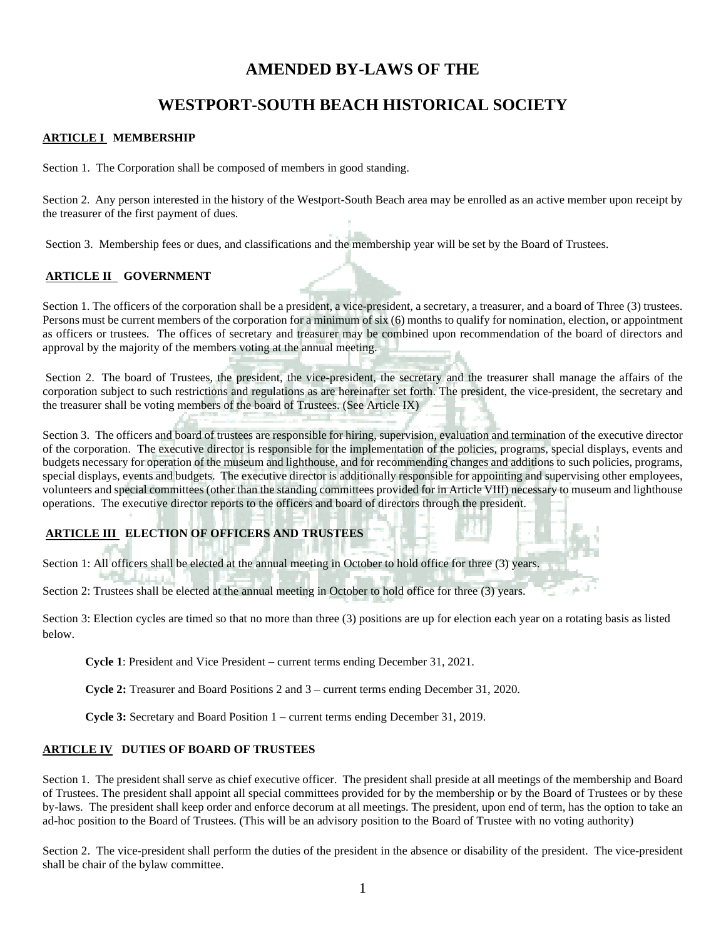## **AMENDED BY-LAWS OF THE**

# **WESTPORT-SOUTH BEACH HISTORICAL SOCIETY**

### **ARTICLE I MEMBERSHIP**

Section 1. The Corporation shall be composed of members in good standing.

Section 2. Any person interested in the history of the Westport-South Beach area may be enrolled as an active member upon receipt by the treasurer of the first payment of dues.

Section 3. Membership fees or dues, and classifications and the membership year will be set by the Board of Trustees.

#### **ARTICLE II GOVERNMENT**

Section 1. The officers of the corporation shall be a president, a vice-president, a secretary, a treasurer, and a board of Three (3) trustees. Persons must be current members of the corporation for a minimum of six (6) months to qualify for nomination, election, or appointment as officers or trustees. The offices of secretary and treasurer may be combined upon recommendation of the board of directors and approval by the majority of the members voting at the annual meeting.

Section 2. The board of Trustees, the president, the vice-president, the secretary and the treasurer shall manage the affairs of the corporation subject to such restrictions and regulations as are hereinafter set forth. The president, the vice-president, the secretary and the treasurer shall be voting members of the board of Trustees. (See Article IX)

Section 3. The officers and board of trustees are responsible for hiring, supervision, evaluation and termination of the executive director of the corporation. The executive director is responsible for the implementation of the policies, programs, special displays, events and budgets necessary for operation of the museum and lighthouse, and for recommending changes and additions to such policies, programs, special displays, events and budgets. The executive director is additionally responsible for appointing and supervising other employees, volunteers and special committees (other than the standing committees provided for in Article VIII) necessary to museum and lighthouse operations. The executive director reports to the officers and board of directors through the president.

### **ARTICLE III ELECTION OF OFFICERS AND TRUSTEES**

Section 1: All officers shall be elected at the annual meeting in October to hold office for three (3) years.

Section 2: Trustees shall be elected at the annual meeting in October to hold office for three (3) years.

Section 3: Election cycles are timed so that no more than three (3) positions are up for election each year on a rotating basis as listed below.

**Cycle 1**: President and Vice President – current terms ending December 31, 2021.

**Cycle 2:** Treasurer and Board Positions 2 and 3 – current terms ending December 31, 2020.

**Cycle 3:** Secretary and Board Position 1 – current terms ending December 31, 2019.

#### **ARTICLE IV DUTIES OF BOARD OF TRUSTEES**

Section 1. The president shall serve as chief executive officer. The president shall preside at all meetings of the membership and Board of Trustees. The president shall appoint all special committees provided for by the membership or by the Board of Trustees or by these by-laws. The president shall keep order and enforce decorum at all meetings. The president, upon end of term, has the option to take an ad-hoc position to the Board of Trustees. (This will be an advisory position to the Board of Trustee with no voting authority)

Section 2. The vice-president shall perform the duties of the president in the absence or disability of the president. The vice-president shall be chair of the bylaw committee.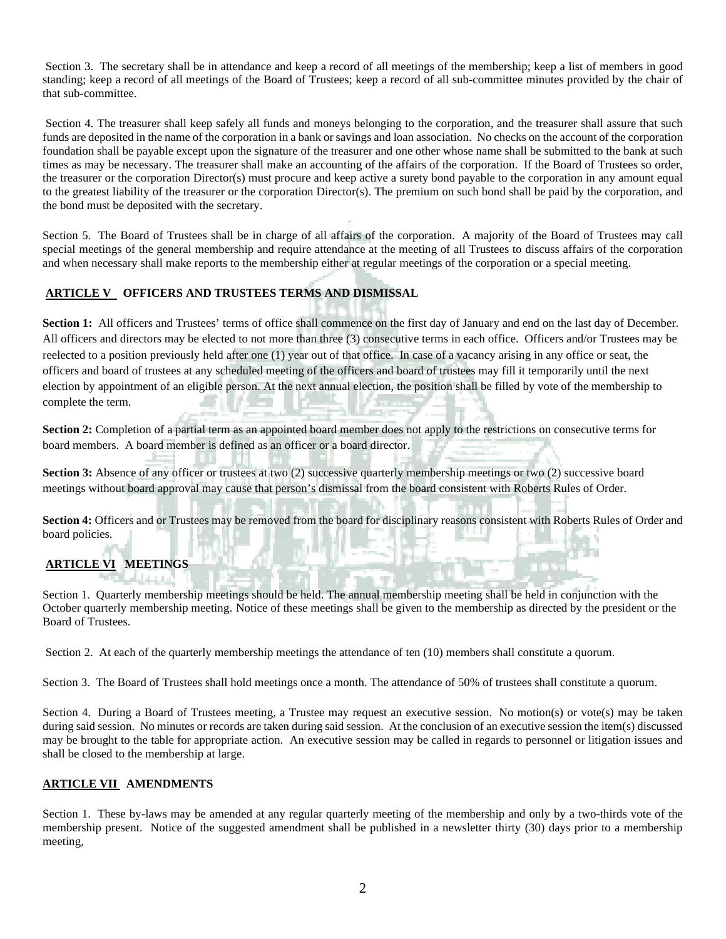Section 3. The secretary shall be in attendance and keep a record of all meetings of the membership; keep a list of members in good standing; keep a record of all meetings of the Board of Trustees; keep a record of all sub-committee minutes provided by the chair of that sub-committee.

Section 4. The treasurer shall keep safely all funds and moneys belonging to the corporation, and the treasurer shall assure that such funds are deposited in the name of the corporation in a bank or savings and loan association. No checks on the account of the corporation foundation shall be payable except upon the signature of the treasurer and one other whose name shall be submitted to the bank at such times as may be necessary. The treasurer shall make an accounting of the affairs of the corporation. If the Board of Trustees so order, the treasurer or the corporation Director(s) must procure and keep active a surety bond payable to the corporation in any amount equal to the greatest liability of the treasurer or the corporation Director(s). The premium on such bond shall be paid by the corporation, and the bond must be deposited with the secretary.

Section 5. The Board of Trustees shall be in charge of all affairs of the corporation. A majority of the Board of Trustees may call special meetings of the general membership and require attendance at the meeting of all Trustees to discuss affairs of the corporation and when necessary shall make reports to the membership either at regular meetings of the corporation or a special meeting.

## **ARTICLE V OFFICERS AND TRUSTEES TERMS AND DISMISSAL**

**Section 1:** All officers and Trustees' terms of office shall commence on the first day of January and end on the last day of December. All officers and directors may be elected to not more than three (3) consecutive terms in each office. Officers and/or Trustees may be reelected to a position previously held after one (1) year out of that office. In case of a vacancy arising in any office or seat, the officers and board of trustees at any scheduled meeting of the officers and board of trustees may fill it temporarily until the next election by appointment of an eligible person. At the next annual election, the position shall be filled by vote of the membership to complete the term.

**Section 2:** Completion of a partial term as an appointed board member does not apply to the restrictions on consecutive terms for board members. A board member is defined as an officer or a board director.

**Section 3:** Absence of any officer or trustees at two (2) successive quarterly membership meetings or two (2) successive board meetings without board approval may cause that person's dismissal from the board consistent with Roberts Rules of Order.

**Section 4:** Officers and or Trustees may be removed from the board for disciplinary reasons consistent with Roberts Rules of Order and board policies.

# **ARTICLE VI MEETINGS**

Section 1. Quarterly membership meetings should be held. The annual membership meeting shall be held in conjunction with the October quarterly membership meeting. Notice of these meetings shall be given to the membership as directed by the president or the Board of Trustees.

Section 2. At each of the quarterly membership meetings the attendance of ten (10) members shall constitute a quorum.

Section 3. The Board of Trustees shall hold meetings once a month. The attendance of 50% of trustees shall constitute a quorum.

Section 4. During a Board of Trustees meeting, a Trustee may request an executive session. No motion(s) or vote(s) may be taken during said session. No minutes or records are taken during said session. At the conclusion of an executive session the item(s) discussed may be brought to the table for appropriate action. An executive session may be called in regards to personnel or litigation issues and shall be closed to the membership at large.

#### **ARTICLE VII AMENDMENTS**

Section 1. These by-laws may be amended at any regular quarterly meeting of the membership and only by a two-thirds vote of the membership present. Notice of the suggested amendment shall be published in a newsletter thirty (30) days prior to a membership meeting,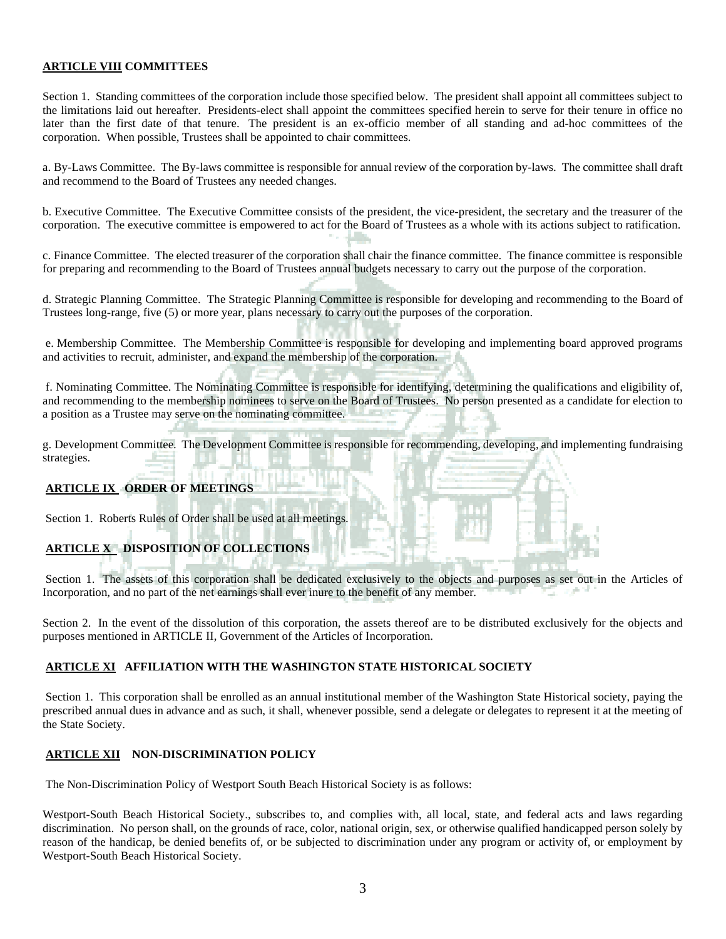#### **ARTICLE VIII COMMITTEES**

Section 1. Standing committees of the corporation include those specified below. The president shall appoint all committees subject to the limitations laid out hereafter. Presidents-elect shall appoint the committees specified herein to serve for their tenure in office no later than the first date of that tenure. The president is an ex-officio member of all standing and ad-hoc committees of the corporation. When possible, Trustees shall be appointed to chair committees.

a. By-Laws Committee. The By-laws committee is responsible for annual review of the corporation by-laws. The committee shall draft and recommend to the Board of Trustees any needed changes.

b. Executive Committee. The Executive Committee consists of the president, the vice-president, the secretary and the treasurer of the corporation. The executive committee is empowered to act for the Board of Trustees as a whole with its actions subject to ratification.

c. Finance Committee. The elected treasurer of the corporation shall chair the finance committee. The finance committee is responsible for preparing and recommending to the Board of Trustees annual budgets necessary to carry out the purpose of the corporation.

d. Strategic Planning Committee. The Strategic Planning Committee is responsible for developing and recommending to the Board of Trustees long-range, five (5) or more year, plans necessary to carry out the purposes of the corporation.

e. Membership Committee. The Membership Committee is responsible for developing and implementing board approved programs and activities to recruit, administer, and expand the membership of the corporation.

f. Nominating Committee. The Nominating Committee is responsible for identifying, determining the qualifications and eligibility of, and recommending to the membership nominees to serve on the Board of Trustees. No person presented as a candidate for election to a position as a Trustee may serve on the nominating committee.

g. Development Committee. The Development Committee is responsible for recommending, developing, and implementing fundraising strategies.

#### **ARTICLE IX ORDER OF MEETINGS**

Section 1. Roberts Rules of Order shall be used at all meetings.

## **ARTICLE X DISPOSITION OF COLLECTIONS**

Section 1. The assets of this corporation shall be dedicated exclusively to the objects and purposes as set out in the Articles of Incorporation, and no part of the net earnings shall ever inure to the benefit of any member.

Section 2. In the event of the dissolution of this corporation, the assets thereof are to be distributed exclusively for the objects and purposes mentioned in ARTICLE II, Government of the Articles of Incorporation.

#### **ARTICLE XI AFFILIATION WITH THE WASHINGTON STATE HISTORICAL SOCIETY**

Section 1. This corporation shall be enrolled as an annual institutional member of the Washington State Historical society, paying the prescribed annual dues in advance and as such, it shall, whenever possible, send a delegate or delegates to represent it at the meeting of the State Society.

#### **ARTICLE XII NON-DISCRIMINATION POLICY**

The Non-Discrimination Policy of Westport South Beach Historical Society is as follows:

Westport-South Beach Historical Society., subscribes to, and complies with, all local, state, and federal acts and laws regarding discrimination. No person shall, on the grounds of race, color, national origin, sex, or otherwise qualified handicapped person solely by reason of the handicap, be denied benefits of, or be subjected to discrimination under any program or activity of, or employment by Westport-South Beach Historical Society.